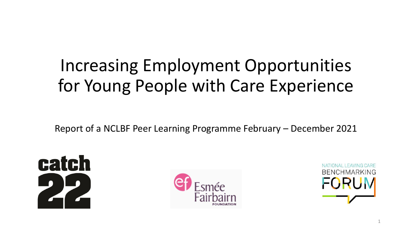## Increasing Employment Opportunities for Young People with Care Experience

Report of a NCLBF Peer Learning Programme February – December 2021





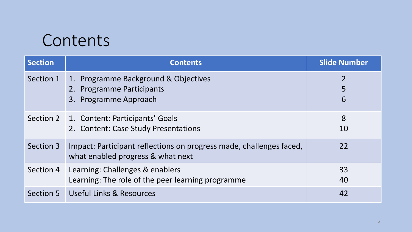#### Contents

| <b>Section</b> | <b>Contents</b>                                                                                          | <b>Slide Number</b>      |
|----------------|----------------------------------------------------------------------------------------------------------|--------------------------|
| Section 1      | 1. Programme Background & Objectives<br>2. Programme Participants<br>3. Programme Approach               | $\overline{2}$<br>5<br>6 |
|                | Section 2   1. Content: Participants' Goals<br>2. Content: Case Study Presentations                      | 8<br>10                  |
| Section 3      | Impact: Participant reflections on progress made, challenges faced,<br>what enabled progress & what next | 22                       |
| Section 4      | Learning: Challenges & enablers<br>Learning: The role of the peer learning programme                     | 33<br>40                 |
| Section 5      | Useful Links & Resources                                                                                 | 42                       |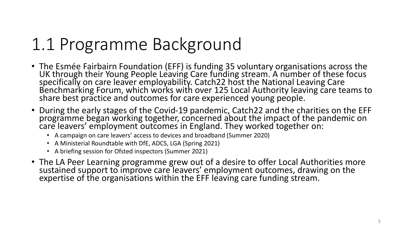## 1.1 Programme Background

- The Esmée Fairbairn Foundation (EFF) is funding 35 voluntary organisations across the UK through their Young People Leaving Care funding stream. A number of these focus specifically on care leaver employability. Catch22 host the National Leaving Care Benchmarking Forum, which works with over 125 Local Authority leaving care teams to share best practice and outcomes for care experienced young people.
- During the early stages of the Covid-19 pandemic, Catch22 and the charities on the EFF programme began working together, concerned about the impact of the pandemic on care leavers' employment outcomes in England. They worked together on:
	- A campaign on care leavers' access to devices and broadband (Summer 2020)
	- A Ministerial Roundtable with DfE, ADCS, LGA (Spring 2021)
	- A briefing session for Ofsted inspectors (Summer 2021)
- The LA Peer Learning programme grew out of a desire to offer Local Authorities more sustained support to improve care leavers' employment outcomes, drawing on the expertise of the organisations within the EFF leaving care funding stream.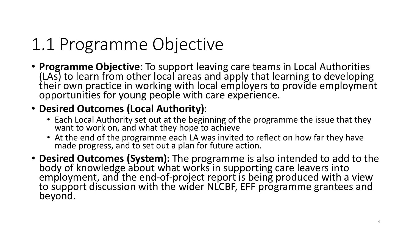## 1.1 Programme Objective

• **Programme Objective**: To support leaving care teams in Local Authorities (LAs) to learn from other local areas and apply that learning to developing their own practice in working with local employers to provide employment opportunities for young people with care experience.

#### • **Desired Outcomes (Local Authority)**:

- Each Local Authority set out at the beginning of the programme the issue that they want to work on, and what they hope to achieve
- At the end of the programme each LA was invited to reflect on how far they have made progress, and to set out a plan for future action.
- **Desired Outcomes (System):** The programme is also intended to add to the body of knowledge about what works in supporting care leavers into employment, and the end-of-project report is being produced with a view to support discussion with the wider NLCBF, EFF programme grantees and beyond.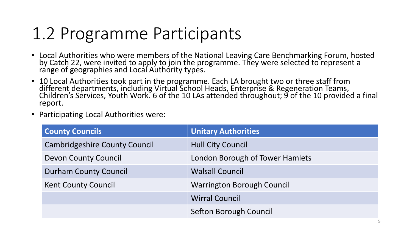## 1.2 Programme Participants

- Local Authorities who were members of the National Leaving Care Benchmarking Forum, hosted by Catch 22, were invited to apply to join the programme. They were selected to represent a range of geographies and Local Authority types.
- 10 Local Authorities took part in the programme. Each LA brought two or three staff from different departments, including Virtual School Heads, Enterprise & Regeneration Teams, Children's Services, Youth Work. 6 of the 10 LAs attended throughout; 9 of the 10 provided a final report.
- Participating Local Authorities were:

| <b>County Councils</b>               | <b>Unitary Authorities</b>        |
|--------------------------------------|-----------------------------------|
| <b>Cambridgeshire County Council</b> | <b>Hull City Council</b>          |
| <b>Devon County Council</b>          | London Borough of Tower Hamlets   |
| <b>Durham County Council</b>         | <b>Walsall Council</b>            |
| <b>Kent County Council</b>           | <b>Warrington Borough Council</b> |
|                                      | <b>Wirral Council</b>             |
|                                      | Sefton Borough Council            |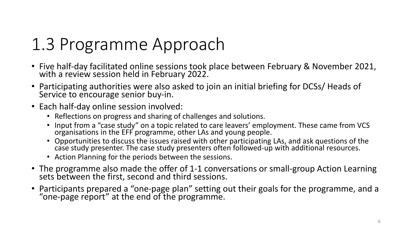## 1.3 Programme Approach

- Five half-day facilitated online sessions took place between February & November 2021, with a review session held in February 2022.
- Participating authorities were also asked to join an initial briefing for DCSs/ Heads of Service to encourage senior buy-in.
- Each half-day online session involved:
	- Reflections on progress and sharing of challenges and solutions.
	- Input from a "case study" on a topic related to care leavers' employment. These came from VCS organisations in the EFF programme, other LAs and young people.
	- Opportunities to discuss the issues raised with other participating LAs, and ask questions of the case study presenter. The case study presenters often followed-up with additional resources.
	- Action Planning for the periods between the sessions.
- The programme also made the offer of 1-1 conversations or small-group Action Learning sets between the first, second and third sessions.
- Participants prepared a "one-page plan" setting out their goals for the programme, and a "one-page report" at the end of the programme.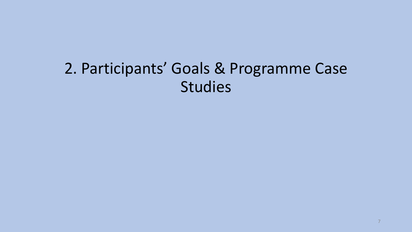#### 2. Participants' Goals & Programme Case Studies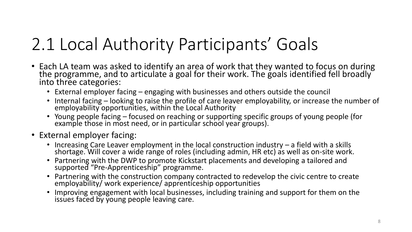## 2.1 Local Authority Participants' Goals

- Each LA team was asked to identify an area of work that they wanted to focus on during the programme, and to articulate a goal for their work. The goals identified fell broadly into three categories:
	- External employer facing engaging with businesses and others outside the council
	- Internal facing looking to raise the profile of care leaver employability, or increase the number of employability opportunities, within the Local Authority
	- Young people facing focused on reaching or supporting specific groups of young people (for example those in most need, or in particular school year groups).
- External employer facing:
	- Increasing Care Leaver employment in the local construction industry a field with a skills shortage. Will cover a wide range of roles (including admin, HR etc) as well as on-site work.
	- Partnering with the DWP to promote Kickstart placements and developing a tailored and supported "Pre-Apprenticeship" programme.
	- Partnering with the construction company contracted to redevelop the civic centre to create employability/ work experience/ apprenticeship opportunities
	- Improving engagement with local businesses, including training and support for them on the issues faced by young people leaving care.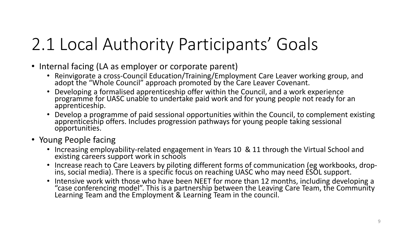## 2.1 Local Authority Participants' Goals

- Internal facing (LA as employer or corporate parent)
	- Reinvigorate a cross-Council Education/Training/Employment Care Leaver working group, and adopt the "Whole Council" approach promoted by the Care Leaver Covenant.
	- Developing a formalised apprenticeship offer within the Council, and a work experience programme for UASC unable to undertake paid work and for young people not ready for an apprenticeship.
	- Develop a programme of paid sessional opportunities within the Council, to complement existing apprenticeship offers. Includes progression pathways for young people taking sessional opportunities.
- Young People facing
	- Increasing employability-related engagement in Years 10 & 11 through the Virtual School and existing careers support work in schools
	- Increase reach to Care Leavers by piloting different forms of communication (eg workbooks, dropins, social media). There is a specific focus on reaching UASC who may need ESOL support.
	- Intensive work with those who have been NEET for more than 12 months, including developing a "case conferencing model". This is a partnership between the Leaving Care Team, the Community Learning Team and the Employment & Learning Team in the council.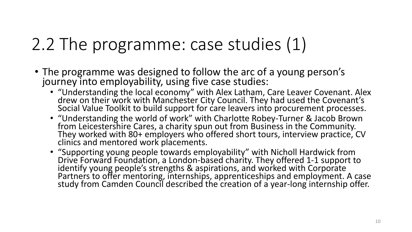## 2.2 The programme: case studies (1)

- The programme was designed to follow the arc of a young person's journey into employability, using five case studies:
	- "Understanding the local economy" with Alex Latham, Care Leaver Covenant. Alex drew on their work with Manchester City Council. They had used the Covenant's Social Value Toolkit to build support for care leavers into procurement processes.
	- "Understanding the world of work" with Charlotte Robey-Turner & Jacob Brown from Leicestershire Cares, a charity spun out from Business in the Community. They worked with 80+ employers who offered short tours, interview practice, CV clinics and mentored work placements.
	- "Supporting young people towards employability" with Nicholl Hardwick from Drive Forward Foundation, a London-based charity. They offered 1-1 support to identify young people's strengths & aspirations, and worked with Corporate Partners to offer mentoring, internships, apprenticeships and employment. A case study from Camden Council described the creation of a year-long internship offer.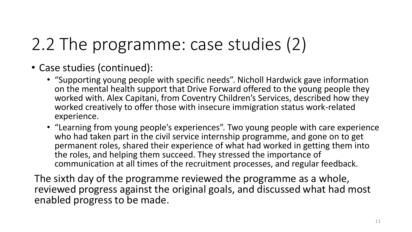## 2.2 The programme: case studies (2)

- Case studies (continued):
	- "Supporting young people with specific needs". Nicholl Hardwick gave information on the mental health support that Drive Forward offered to the young people they worked with. Alex Capitani, from Coventry Children's Services, described how they worked creatively to offer those with insecure immigration status work-related experience.
	- "Learning from young people's experiences". Two young people with care experience who had taken part in the civil service internship programme, and gone on to get permanent roles, shared their experience of what had worked in getting them into the roles, and helping them succeed. They stressed the importance of communication at all times of the recruitment processes, and regular feedback.

The sixth day of the programme reviewed the programme as a whole, reviewed progress against the original goals, and discussed what had most enabled progress to be made.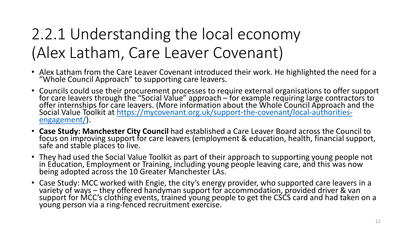### 2.2.1 Understanding the local economy (Alex Latham, Care Leaver Covenant)

- Alex Latham from the Care Leaver Covenant introduced their work. He highlighted the need for a "Whole Council Approach" to supporting care leavers.
- Councils could use their procurement processes to require external organisations to offer support for care leavers through the "Social Value" approach – for example requiring large contractors to offer internships for care leavers. (More information about the Whole Council Approach and the Social Value Toolkit at <u>https://mycovenant.org.uk/support-the-covenant/local-authorities-</u> engagement/).
- **Case Study: Manchester City Council** had established a Care Leaver Board across the Council to focus on improving support for care leavers (employment & education, health, financial support, safe and stable places to live.
- They had used the Social Value Toolkit as part of their approach to supporting young people not in Education, Employment or Training, including young people leaving care, and this was now being adopted across the 10 Greater Manchester LAs.
- Case Study: MCC worked with Engie, the city's energy provider, who supported care leavers in a variety of ways – they offered handyman support for accommodation, provided driver & van support for MCC's clothing events, trained young people to get the CSCS card and had taken on a young person via a ring-fenced recruitment exercise.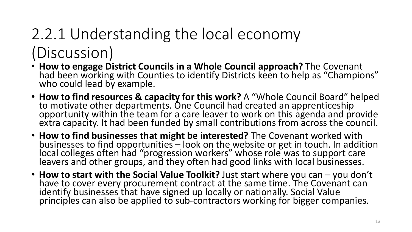## 2.2.1 Understanding the local economy (Discussion)

- **How to engage District Councils in a Whole Council approach?** The Covenant had been working with Counties to identify Districts keen to help as "Champions" who could lead by example.
- **How to find resources & capacity for this work?** A "Whole Council Board" helped to motivate other departments. One Council had created an apprenticeship opportunity within the team for a care leaver to work on this agenda and provide extra capacity. It had been funded by small contributions from across the council.
- **How to find businesses that might be interested?** The Covenant worked with businesses to find opportunities – look on the website or get in touch. In addition local colleges often had "progression workers" whose role was to support care leavers and other groups, and they often had good links with local businesses.
- **How to start with the Social Value Toolkit?** Just start where you can you don't have to cover every procurement contract at the same time. The Covenant can identify businesses that have signed up locally or nationally. Social Value principles can also be applied to sub-contractors working for bigger companies.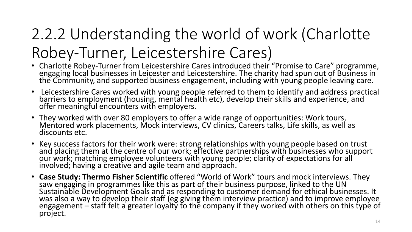## 2.2.2 Understanding the world of work (Charlotte Robey-Turner, Leicestershire Cares)

- Charlotte Robey-Turner from Leicestershire Cares introduced their "Promise to Care" programme, engaging local businesses in Leicester and Leicestershire. The charity had spun out of Business in  $\overline{ }$ the Community, and supported business engagement, including with young people leaving care.
- Leicestershire Cares worked with young people referred to them to identify and address practical barriers to employment (housing, mental health etc), develop their skills and experience, and offer meaningful encounters with employers.
- They worked with over 80 employers to offer a wide range of opportunities: Work tours, Mentored work placements, Mock interviews, CV clinics, Careers talks, Life skills, as well as discounts etc.
- Key success factors for their work were: strong relationships with young people based on trust and placing them at the centre of our work; effective partnerships with businesses who support our work; matching employee volunteers with young people; clarity of expectations for all involved; having a creative and agile team and approach.
- **Case Study: Thermo Fisher Scientific** offered "World of Work" tours and mock interviews. They saw engaging in programmes like this as part of their business purpose, linked to the UN Sustainable Development Goals and as responding to customer demand for ethical businesses. It was also a way to develop their staff (eg giving them interview practice) and to improve employee engagement – staff felt a greater loyalty to the company if they worked with others on this type of project.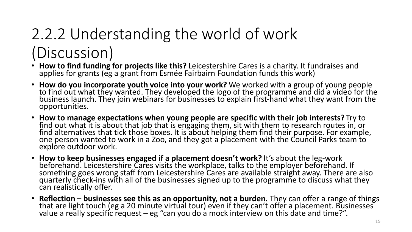## 2.2.2 Understanding the world of work (Discussion)

- **How to find funding for projects like this?** Leicestershire Cares is a charity. It fundraises and applies for grants (eg a grant from Esmée Fairbairn Foundation funds this work)
- **How do you incorporate youth voice into your work?** We worked with a group of young people to find out what they wanted. They developed the logo of the programme and did a video for the business launch. They join webinars for businesses to explain first-hand what they want from the opportunities.
- **How to manage expectations when young people are specific with their job interests?** Try to find out what it is about that job that is engaging them, sit with them to research routes in, or find alternatives that tick those boxes. It is about helping them find their purpose. For example, one person wanted to work in a Zoo, and they got a placement with the Council Parks team to explore outdoor work.
- **How to keep businesses engaged if a placement doesn't work?** It's about the leg-work beforehand. Leicestershire Cares visits the workplace, talks to the employer beforehand. If something goes wrong staff from Leicestershire Cares are available straight away. There are also quarterly check-ins with all of the businesses signed up to the programme to discuss what they can realistically offer.
- **Reflection – businesses see this as an opportunity, not a burden.** They can offer a range of things that are light touch (eg a 20 minute virtual tour) even if they can't offer a placement. Businesses value a really specific request – eg "can you do a mock interview on this date and time?".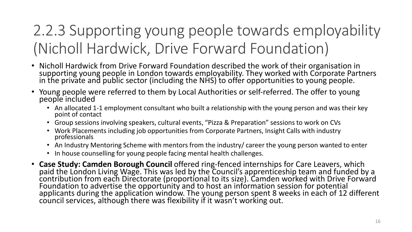#### 2.2.3 Supporting young people towards employability (Nicholl Hardwick, Drive Forward Foundation)

- Nicholl Hardwick from Drive Forward Foundation described the work of their organisation in supporting young people in London towards employability. They worked with Corporate Partners in the private and public sector (including the NHS) to offer opportunities to young people.
- Young people were referred to them by Local Authorities or self-referred. The offer to young people included
	- An allocated 1-1 employment consultant who built a relationship with the young person and was their key point of contact
	- Group sessions involving speakers, cultural events, "Pizza & Preparation" sessions to work on CVs
	- Work Placements including job opportunities from Corporate Partners, Insight Calls with industry professionals
	- An Industry Mentoring Scheme with mentors from the industry/ career the young person wanted to enter
	- In house counselling for young people facing mental health challenges.
- **Case Study: Camden Borough Council** offered ring-fenced internships for Care Leavers, which paid the London Living Wage. This was led by the Council's apprenticeship team and funded by a contribution from each Directorate (proportional to its size). Camden worked with Drive Forward Foundation to advertise the opportunity and to host an information session for potential applicants during the application window. The young person spent 8 weeks in each of 12 different council services, although there was flexibility if it wasn't working out.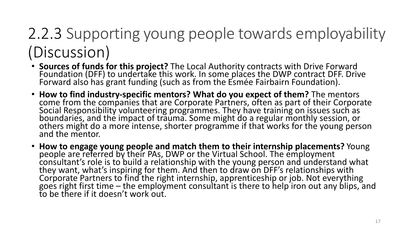## 2.2.3 Supporting young people towards employability (Discussion)

- **Sources of funds for this project?** The Local Authority contracts with Drive Forward Foundation (DFF) to undertake this work. In some places the DWP contract DFF. Drive Forward also has grant funding (such as from the Esmée Fairbairn Foundation).
- **How to find industry-specific mentors? What do you expect of them?** The mentors come from the companies that are Corporate Partners, often as part of their Corporate Social Responsibility volunteering programmes. They have training on issues such as boundaries, and the impact of trauma. Some might do a regular monthly session, or others might do a more intense, shorter programme if that works for the young person and the mentor.
- **How to engage young people and match them to their internship placements?** Young people are referred by their PAs, DWP or the Virtual School. The employment consultant's role is to build a relationship with the young person and understand what they want, what's inspiring for them. And then to draw on DFF's relationships with Corporate Partners to find the right internship, apprenticeship or job. Not everything goes right first time – the employment consultant is there to help iron out any blips, and to be there if it doesn't work out.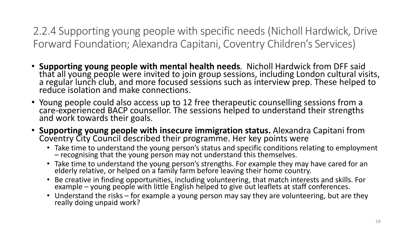2.2.4 Supporting young people with specific needs (Nicholl Hardwick, Drive Forward Foundation; Alexandra Capitani, Coventry Children's Services)

- **Supporting young people with mental health needs**. Nicholl Hardwick from DFF said that all young people were invited to join group sessions, including London cultural visits, a regular lunch club, and more focused sessions such as interview prep. These helped to reduce isolation and make connections.
- Young people could also access up to 12 free therapeutic counselling sessions from a care-experienced BACP counsellor. The sessions helped to understand their strengths and work towards their goals.
- **Supporting young people with insecure immigration status.** Alexandra Capitani from Coventry City Council described their programme. Her key points were
	- Take time to understand the young person's status and specific conditions relating to employment – recognising that the young person may not understand this themselves.
	- Take time to understand the young person's strengths. For example they may have cared for an elderly relative, or helped on a family farm before leaving their home country.
	- Be creative in finding opportunities, including volunteering, that match interests and skills. For example – young people with little English helped to give out leaflets at staff conferences.
	- Understand the risks for example a young person may say they are volunteering, but are they really doing unpaid work?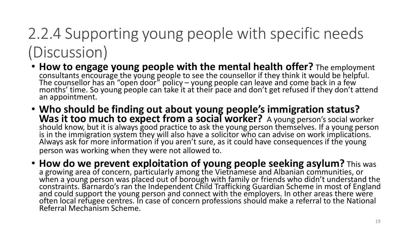## 2.2.4 Supporting young people with specific needs (Discussion)

- **How to engage young people with the mental health offer?** The employment consultants encourage the young people to see the counsellor if they think it would be helpful. The counsellor has an "open door" policy – young people can leave and come back in a few  $\,$ months' time. So young people can take it at their pace and don't get refused if they don't attend an appointment.
- **Who should be finding out about young people's immigration status?**  Was it too much to expect from a social worker? A young person's social worker should know, but it is always good practice to ask the young person themselves. If a young person is in the immigration system they will also have a solicitor who can advise on work implications. Always ask for more information if you aren't sure, as it could have consequences if the young person was working when they were not allowed to.
- **How do we prevent exploitation of young people seeking asylum?** This was a growing area of concern, particularly among the Vietnamese and Albanian communities, or when a young person was placed out of borough with family or friends who didn't understand the constraints. Barnardo's ran the Independent Child Trafficking Guardian Scheme in most of England and could support the young person and connect with the employers. In other areas there were often local refugee centres. In case of concern professions should make a referral to the National Referral Mechanism Scheme.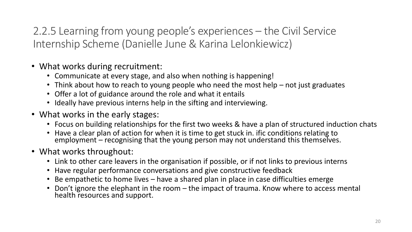2.2.5 Learning from young people's experiences – the Civil Service Internship Scheme (Danielle June & Karina Lelonkiewicz)

- What works during recruitment:
	- Communicate at every stage, and also when nothing is happening!
	- Think about how to reach to young people who need the most help not just graduates
	- Offer a lot of guidance around the role and what it entails
	- Ideally have previous interns help in the sifting and interviewing.
- What works in the early stages:
	- Focus on building relationships for the first two weeks & have a plan of structured induction chats
	- Have a clear plan of action for when it is time to get stuck in. ific conditions relating to employment – recognising that the young person may not understand this themselves.
- What works throughout:
	- Link to other care leavers in the organisation if possible, or if not links to previous interns
	- Have regular performance conversations and give constructive feedback
	- Be empathetic to home lives have a shared plan in place in case difficulties emerge
	- Don't ignore the elephant in the room the impact of trauma. Know where to access mental health resources and support.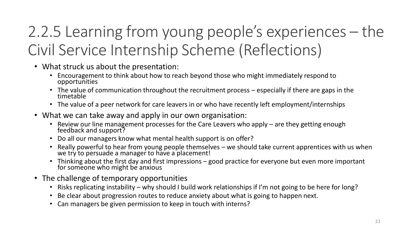## 2.2.5 Learning from young people's experiences – the Civil Service Internship Scheme (Reflections)

- What struck us about the presentation:
	- Encouragement to think about how to reach beyond those who might immediately respond to opportunities
	- The value of communication throughout the recruitment process especially if there are gaps in the timetable
	- The value of a peer network for care leavers in or who have recently left employment/internships
- What we can take away and apply in our own organisation:
	- Review our line management processes for the Care Leavers who apply are they getting enough feedback and support?
	- Do all our managers know what mental health support is on offer?
	- Really powerful to hear from young people themselves we should take current apprentices with us when we try to persuade a manager to have a placement!
	- Thinking about the first day and first impressions good practice for everyone but even more important for someone who might be anxious
- The challenge of temporary opportunities
	- Risks replicating instability why should I build work relationships if I'm not going to be here for long?
	- Be clear about progression routes to reduce anxiety about what is going to happen next.
	- Can managers be given permission to keep in touch with interns?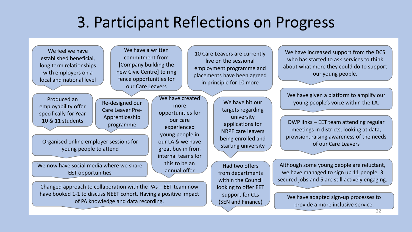#### 3. Participant Reflections on Progress

We feel we have established beneficial, long term relationships with employers on a local and national level

employability offer specifically for Year 10 & 11 students

We have a written commitment from [Company building the new Civic Centre] to ring fence opportunities for our Care Leavers

Re-designed our Care Leaver Pre-Apprenticeship programme

Organised online employer sessions for young people to attend

We now have social media where we share EET opportunities

We have created more opportunities for our care experienced young people in our LA & we have great buy in from internal teams for this to be an annual offer

We have hit our targets regarding university applications for NRPF care leavers being enrolled and starting university

10 Care Leavers are currently live on the sessional employment programme and placements have been agreed in principle for 10 more

> Had two offers from departments within the Council looking to offer EET support for CLs (SEN and Finance)

We have increased support from the DCS who has started to ask services to think about what more they could do to support our young people.

We have given a platform to amplify our Produced an Re-designed our We have created we have hit our we have hit our voung people's voice within the LA.

> DWP links – EET team attending regular meetings in districts, looking at data, provision, raising awareness of the needs of our Care Leavers

Although some young people are reluctant, we have managed to sign up 11 people. 3 secured jobs and 5 are still actively engaging.

We have adapted sign-up processes to provide a more inclusive service.

Changed approach to collaboration with the PAs – EET team now have booked 1-1 to discuss NEET cohort. Having a positive impact of PA knowledge and data recording.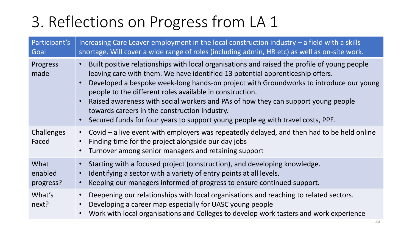| Participant's<br>Goal        | Increasing Care Leaver employment in the local construction industry $-$ a field with a skills<br>shortage. Will cover a wide range of roles (including admin, HR etc) as well as on-site work.                                                                                                                                                                                                                                                                                                                                                               |
|------------------------------|---------------------------------------------------------------------------------------------------------------------------------------------------------------------------------------------------------------------------------------------------------------------------------------------------------------------------------------------------------------------------------------------------------------------------------------------------------------------------------------------------------------------------------------------------------------|
| Progress<br>made             | Built positive relationships with local organisations and raised the profile of young people<br>leaving care with them. We have identified 13 potential apprenticeship offers.<br>Developed a bespoke week-long hands-on project with Groundworks to introduce our young<br>people to the different roles available in construction.<br>Raised awareness with social workers and PAs of how they can support young people<br>towards careers in the construction industry.<br>Secured funds for four years to support young people eg with travel costs, PPE. |
| Challenges<br>Faced          | Covid $-$ a live event with employers was repeatedly delayed, and then had to be held online<br>$\bullet$<br>Finding time for the project alongside our day jobs<br>Turnover among senior managers and retaining support                                                                                                                                                                                                                                                                                                                                      |
| What<br>enabled<br>progress? | Starting with a focused project (construction), and developing knowledge.<br>Identifying a sector with a variety of entry points at all levels.<br>Keeping our managers informed of progress to ensure continued support.                                                                                                                                                                                                                                                                                                                                     |
| What's<br>next?              | Deepening our relationships with local organisations and reaching to related sectors.<br>Developing a career map especially for UASC young people<br>Work with local organisations and Colleges to develop work tasters and work experience                                                                                                                                                                                                                                                                                                                   |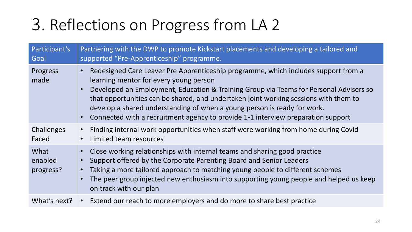| Participant's<br>Goal        | Partnering with the DWP to promote Kickstart placements and developing a tailored and<br>supported "Pre-Apprenticeship" programme.                                                                                                                                                                                                                                                                                                                                                                                    |
|------------------------------|-----------------------------------------------------------------------------------------------------------------------------------------------------------------------------------------------------------------------------------------------------------------------------------------------------------------------------------------------------------------------------------------------------------------------------------------------------------------------------------------------------------------------|
| Progress<br>made             | Redesigned Care Leaver Pre Apprenticeship programme, which includes support from a<br>$\bullet$<br>learning mentor for every young person<br>Developed an Employment, Education & Training Group via Teams for Personal Advisers so<br>$\bullet$<br>that opportunities can be shared, and undertaken joint working sessions with them to<br>develop a shared understanding of when a young person is ready for work.<br>Connected with a recruitment agency to provide 1-1 interview preparation support<br>$\bullet$ |
| Challenges<br>Faced          | Finding internal work opportunities when staff were working from home during Covid<br>Limited team resources<br>$\bullet$                                                                                                                                                                                                                                                                                                                                                                                             |
| What<br>enabled<br>progress? | Close working relationships with internal teams and sharing good practice<br>$\bullet$<br>Support offered by the Corporate Parenting Board and Senior Leaders<br>Taking a more tailored approach to matching young people to different schemes<br>$\bullet$<br>The peer group injected new enthusiasm into supporting young people and helped us keep<br>on track with our plan                                                                                                                                       |
| What's next?                 | • Extend our reach to more employers and do more to share best practice                                                                                                                                                                                                                                                                                                                                                                                                                                               |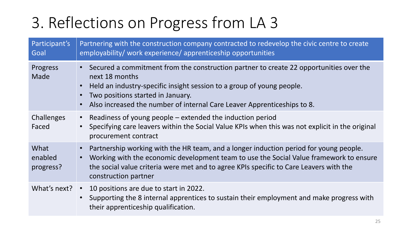| Participant's<br>Goal        | Partnering with the construction company contracted to redevelop the civic centre to create<br>employability/ work experience/ apprenticeship opportunities                                                                                                                                                        |
|------------------------------|--------------------------------------------------------------------------------------------------------------------------------------------------------------------------------------------------------------------------------------------------------------------------------------------------------------------|
| Progress<br>Made             | • Secured a commitment from the construction partner to create 22 opportunities over the<br>next 18 months<br>• Held an industry-specific insight session to a group of young people.<br>Two positions started in January.<br>Also increased the number of internal Care Leaver Apprenticeships to 8.<br>$\bullet$ |
| <b>Challenges</b><br>Faced   | Readiness of young people $-$ extended the induction period<br>$\bullet$<br>Specifying care leavers within the Social Value KPIs when this was not explicit in the original<br>procurement contract                                                                                                                |
| What<br>enabled<br>progress? | Partnership working with the HR team, and a longer induction period for young people.<br>Working with the economic development team to use the Social Value framework to ensure<br>$\bullet$<br>the social value criteria were met and to agree KPIs specific to Care Leavers with the<br>construction partner     |
| What's next?                 | 10 positions are due to start in 2022.<br>$\bullet$<br>Supporting the 8 internal apprentices to sustain their employment and make progress with<br>$\bullet$<br>their apprenticeship qualification.                                                                                                                |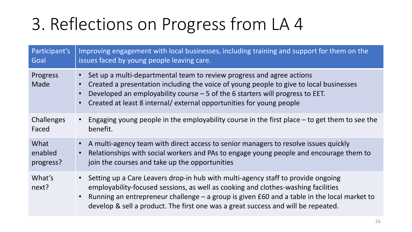| Participant's    | Improving engagement with local businesses, including training and support for them on the                                                                                                                                                                                                                                                                               |
|------------------|--------------------------------------------------------------------------------------------------------------------------------------------------------------------------------------------------------------------------------------------------------------------------------------------------------------------------------------------------------------------------|
| Goal             | issues faced by young people leaving care.                                                                                                                                                                                                                                                                                                                               |
| Progress<br>Made | Set up a multi-departmental team to review progress and agree actions<br>Created a presentation including the voice of young people to give to local businesses<br>Developed an employability course $-5$ of the 6 starters will progress to EET.<br>Created at least 8 internal/ external opportunities for young people                                                |
| Challenges       | Engaging young people in the employability course in the first place $-$ to get them to see the                                                                                                                                                                                                                                                                          |
| Faced            | benefit.                                                                                                                                                                                                                                                                                                                                                                 |
| What             | A multi-agency team with direct access to senior managers to resolve issues quickly                                                                                                                                                                                                                                                                                      |
| enabled          | Relationships with social workers and PAs to engage young people and encourage them to                                                                                                                                                                                                                                                                                   |
| progress?        | join the courses and take up the opportunities                                                                                                                                                                                                                                                                                                                           |
| What's<br>next?  | Setting up a Care Leavers drop-in hub with multi-agency staff to provide ongoing<br>$\bullet$<br>employability-focused sessions, as well as cooking and clothes-washing facilities<br>Running an entrepreneur challenge $-$ a group is given £60 and a table in the local market to<br>develop & sell a product. The first one was a great success and will be repeated. |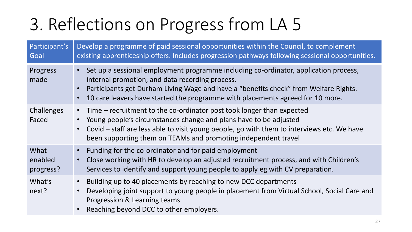| Participant's<br>Goal        | Develop a programme of paid sessional opportunities within the Council, to complement<br>existing apprenticeship offers. Includes progression pathways following sessional opportunities.                                                                                                                                 |
|------------------------------|---------------------------------------------------------------------------------------------------------------------------------------------------------------------------------------------------------------------------------------------------------------------------------------------------------------------------|
| Progress<br>made             | Set up a sessional employment programme including co-ordinator, application process,<br>internal promotion, and data recording process.<br>Participants get Durham Living Wage and have a "benefits check" from Welfare Rights.<br>10 care leavers have started the programme with placements agreed for 10 more.         |
| Challenges<br>Faced          | • Time – recruitment to the co-ordinator post took longer than expected<br>Young people's circumstances change and plans have to be adjusted<br>$\bullet$<br>Covid - staff are less able to visit young people, go with them to interviews etc. We have<br>been supporting them on TEAMs and promoting independent travel |
| What<br>enabled<br>progress? | Funding for the co-ordinator and for paid employment<br>Close working with HR to develop an adjusted recruitment process, and with Children's<br>Services to identify and support young people to apply eg with CV preparation.                                                                                           |
| What's<br>next?              | Building up to 40 placements by reaching to new DCC departments<br>Developing joint support to young people in placement from Virtual School, Social Care and<br>Progression & Learning teams<br>Reaching beyond DCC to other employers.                                                                                  |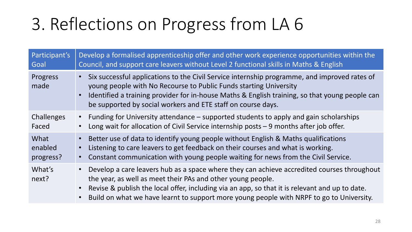| Participant's    | Develop a formalised apprenticeship offer and other work experience opportunities within the                                                                                                                                                                                                                                                            |
|------------------|---------------------------------------------------------------------------------------------------------------------------------------------------------------------------------------------------------------------------------------------------------------------------------------------------------------------------------------------------------|
| Goal             | Council, and support care leavers without Level 2 functional skills in Maths & English                                                                                                                                                                                                                                                                  |
| Progress<br>made | Six successful applications to the Civil Service internship programme, and improved rates of<br>young people with No Recourse to Public Funds starting University<br>Identified a training provider for in-house Maths & English training, so that young people can<br>be supported by social workers and ETE staff on course days.                     |
| Challenges       | Funding for University attendance – supported students to apply and gain scholarships                                                                                                                                                                                                                                                                   |
| Faced            | Long wait for allocation of Civil Service internship posts $-9$ months after job offer.                                                                                                                                                                                                                                                                 |
| What             | Better use of data to identify young people without English & Maths qualifications                                                                                                                                                                                                                                                                      |
| enabled          | Listening to care leavers to get feedback on their courses and what is working.                                                                                                                                                                                                                                                                         |
| progress?        | Constant communication with young people waiting for news from the Civil Service.                                                                                                                                                                                                                                                                       |
| What's<br>next?  | Develop a care leavers hub as a space where they can achieve accredited courses throughout<br>the year, as well as meet their PAs and other young people.<br>Revise & publish the local offer, including via an app, so that it is relevant and up to date.<br>Build on what we have learnt to support more young people with NRPF to go to University. |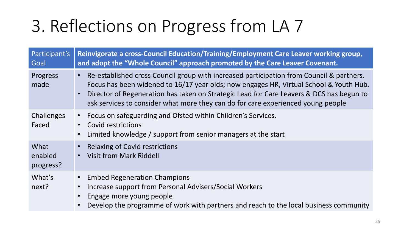| Participant's<br>Goal        | Reinvigorate a cross-Council Education/Training/Employment Care Leaver working group,<br>and adopt the "Whole Council" approach promoted by the Care Leaver Covenant.                                                                                                                                                                                              |
|------------------------------|--------------------------------------------------------------------------------------------------------------------------------------------------------------------------------------------------------------------------------------------------------------------------------------------------------------------------------------------------------------------|
| Progress<br>made             | Re-established cross Council group with increased participation from Council & partners.<br>Focus has been widened to 16/17 year olds; now engages HR, Virtual School & Youth Hub.<br>Director of Regeneration has taken on Strategic Lead for Care Leavers & DCS has begun to<br>ask services to consider what more they can do for care experienced young people |
| Challenges<br>Faced          | Focus on safeguarding and Ofsted within Children's Services.<br>Covid restrictions<br>Limited knowledge / support from senior managers at the start                                                                                                                                                                                                                |
| What<br>enabled<br>progress? | <b>Relaxing of Covid restrictions</b><br><b>Visit from Mark Riddell</b>                                                                                                                                                                                                                                                                                            |
| What's<br>next?              | <b>Embed Regeneration Champions</b><br>Increase support from Personal Advisers/Social Workers<br>Engage more young people<br>Develop the programme of work with partners and reach to the local business community                                                                                                                                                 |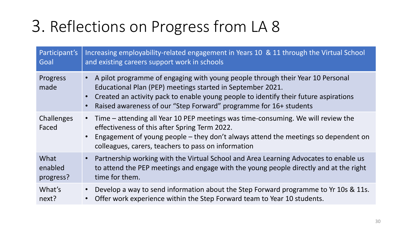| Participant's       | Increasing employability-related engagement in Years 10 & 11 through the Virtual School                                                                                                                                                                                                                     |
|---------------------|-------------------------------------------------------------------------------------------------------------------------------------------------------------------------------------------------------------------------------------------------------------------------------------------------------------|
| Goal                | and existing careers support work in schools                                                                                                                                                                                                                                                                |
| Progress<br>made    | A pilot programme of engaging with young people through their Year 10 Personal<br>Educational Plan (PEP) meetings started in September 2021.<br>• Created an activity pack to enable young people to identify their future aspirations<br>Raised awareness of our "Step Forward" programme for 16+ students |
| Challenges<br>Faced | Time – attending all Year 10 PEP meetings was time-consuming. We will review the<br>$\bullet$<br>effectiveness of this after Spring Term 2022.<br>• Engagement of young people - they don't always attend the meetings so dependent on<br>colleagues, carers, teachers to pass on information               |
| What                | Partnership working with the Virtual School and Area Learning Advocates to enable us                                                                                                                                                                                                                        |
| enabled             | to attend the PEP meetings and engage with the young people directly and at the right                                                                                                                                                                                                                       |
| progress?           | time for them.                                                                                                                                                                                                                                                                                              |
| What's              | Develop a way to send information about the Step Forward programme to Yr 10s & 11s.                                                                                                                                                                                                                         |
| next?               | Offer work experience within the Step Forward team to Year 10 students.                                                                                                                                                                                                                                     |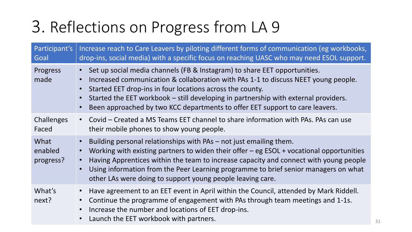| Participant's<br>Goal        | Increase reach to Care Leavers by piloting different forms of communication (eg workbooks,<br>drop-ins, social media) with a specific focus on reaching UASC who may need ESOL support.                                                                                                                                                                                                                          |
|------------------------------|------------------------------------------------------------------------------------------------------------------------------------------------------------------------------------------------------------------------------------------------------------------------------------------------------------------------------------------------------------------------------------------------------------------|
| Progress<br>made             | Set up social media channels (FB & Instagram) to share EET opportunities.<br>Increased communication & collaboration with PAs 1-1 to discuss NEET young people.<br>Started EET drop-ins in four locations across the county.<br>Started the EET workbook – still developing in partnership with external providers.<br>Been approached by two KCC departments to offer EET support to care leavers.              |
| <b>Challenges</b><br>Faced   | Covid – Created a MS Teams EET channel to share information with PAs. PAs can use<br>their mobile phones to show young people.                                                                                                                                                                                                                                                                                   |
| What<br>enabled<br>progress? | Building personal relationships with PAs – not just emailing them.<br>Working with existing partners to widen their offer $-$ eg ESOL $+$ vocational opportunities<br>Having Apprentices within the team to increase capacity and connect with young people<br>Using information from the Peer Learning programme to brief senior managers on what<br>other LAs were doing to support young people leaving care. |
| What's<br>next?              | Have agreement to an EET event in April within the Council, attended by Mark Riddell.<br>Continue the programme of engagement with PAs through team meetings and 1-1s.<br>Increase the number and locations of EET drop-ins.<br>Launch the EET workbook with partners.                                                                                                                                           |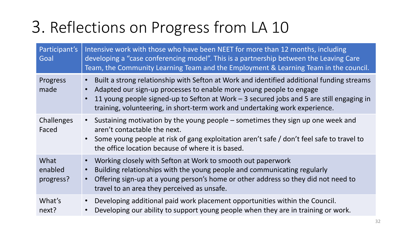| Participant's<br>Goal        | Intensive work with those who have been NEET for more than 12 months, including<br>developing a "case conferencing model". This is a partnership between the Leaving Care<br>Team, the Community Learning Team and the Employment & Learning Team in the council.                                                                           |
|------------------------------|---------------------------------------------------------------------------------------------------------------------------------------------------------------------------------------------------------------------------------------------------------------------------------------------------------------------------------------------|
| Progress<br>made             | Built a strong relationship with Sefton at Work and identified additional funding streams<br>Adapted our sign-up processes to enable more young people to engage<br>11 young people signed-up to Sefton at Work – 3 secured jobs and 5 are still engaging in<br>training, volunteering, in short-term work and undertaking work experience. |
| <b>Challenges</b><br>Faced   | Sustaining motivation by the young people $-$ sometimes they sign up one week and<br>aren't contactable the next.<br>• Some young people at risk of gang exploitation aren't safe / don't feel safe to travel to<br>the office location because of where it is based.                                                                       |
| What<br>enabled<br>progress? | Working closely with Sefton at Work to smooth out paperwork<br>Building relationships with the young people and communicating regularly<br>Offering sign-up at a young person's home or other address so they did not need to<br>travel to an area they perceived as unsafe.                                                                |
| What's<br>next?              | Developing additional paid work placement opportunities within the Council.<br>Developing our ability to support young people when they are in training or work.                                                                                                                                                                            |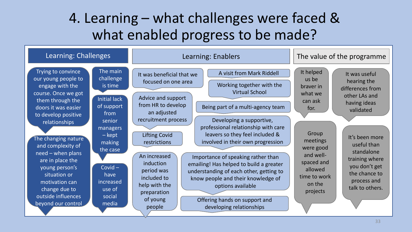#### 4. Learning – what challenges were faced & what enabled progress to be made?

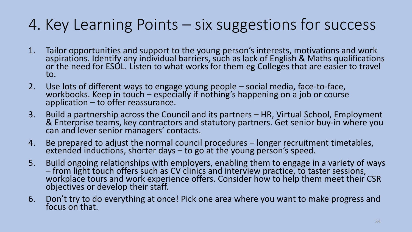#### 4. Key Learning Points – six suggestions for success

- 1. Tailor opportunities and support to the young person's interests, motivations and work aspirations. Identify any individual barriers, such as lack of English & Maths qualifications or the need for ESOL. Listen to what works for them eg Colleges that are easier to travel to.
- 2. Use lots of different ways to engage young people social media, face-to-face, workbooks. Keep in touch – especially if nothing's happening on a job or course application – to offer reassurance.
- 3. Build a partnership across the Council and its partners HR, Virtual School, Employment & Enterprise teams, key contractors and statutory partners. Get senior buy-in where you can and lever senior managers' contacts.
- 4. Be prepared to adjust the normal council procedures longer recruitment timetables, extended inductions, shorter days – to go at the young person's speed.
- 5. Build ongoing relationships with employers, enabling them to engage in a variety of ways – from light touch offers such as CV clinics and interview practice, to taster sessions, workplace tours and work experience offers. Consider how to help them meet their CSR objectives or develop their staff.
- 6. Don't try to do everything at once! Pick one area where you want to make progress and focus on that.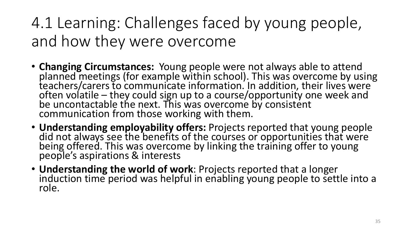### 4.1 Learning: Challenges faced by young people, and how they were overcome

- **Changing Circumstances:** Young people were not always able to attend planned meetings (for example within school). This was overcome by using teachers/carers to communicate information. In addition, their lives were often volatile – they could sign up to a course/opportunity one week and be uncontactable the next. This was overcome by consistent communication from those working with them.
- **Understanding employability offers:** Projects reported that young people did not always see the benefits of the courses or opportunities that were being offered. This was overcome by linking the training offer to young people's aspirations & interests
- **Understanding the world of work**: Projects reported that a longer induction time period was helpful in enabling young people to settle into a role.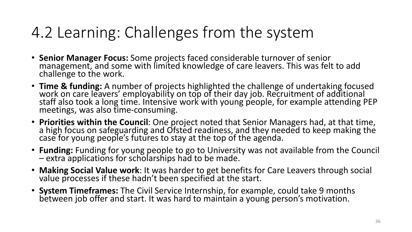#### 4.2 Learning: Challenges from the system

- **Senior Manager Focus:** Some projects faced considerable turnover of senior management, and some with limited knowledge of care leavers. This was felt to add challenge to the work.
- **Time & funding:** A number of projects highlighted the challenge of undertaking focused work on care leavers' employability on top of their day job. Recruitment of additional staff also took a long time. Intensive work with young people, for example attending PEP meetings, was also time-consuming.
- **Priorities within the Council**: One project noted that Senior Managers had, at that time, a high focus on safeguarding and Ofsted readiness, and they needed to keep making the case for young people's futures to stay at the top of the agenda.
- **Funding:** Funding for young people to go to University was not available from the Council – extra applications for scholarships had to be made.
- **Making Social Value work**: It was harder to get benefits for Care Leavers through social value processes if these hadn't been specified at the start.
- **System Timeframes:** The Civil Service Internship, for example, could take 9 months between job offer and start. It was hard to maintain a young person's motivation.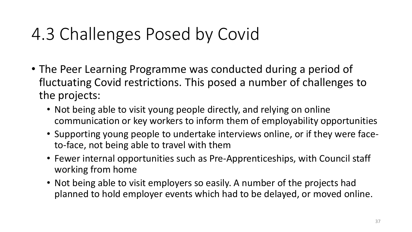## 4.3 Challenges Posed by Covid

- The Peer Learning Programme was conducted during a period of fluctuating Covid restrictions. This posed a number of challenges to the projects:
	- Not being able to visit young people directly, and relying on online communication or key workers to inform them of employability opportunities
	- Supporting young people to undertake interviews online, or if they were faceto-face, not being able to travel with them
	- Fewer internal opportunities such as Pre-Apprenticeships, with Council staff working from home
	- Not being able to visit employers so easily. A number of the projects had planned to hold employer events which had to be delayed, or moved online.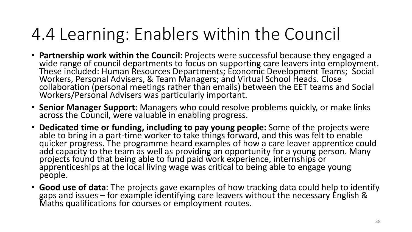## 4.4 Learning: Enablers within the Council

- **Partnership work within the Council:** Projects were successful because they engaged a wide range of council departments to focus on supporting care leavers into employment. These included: Human Resources Departments; Economic Development Teams; Social Workers, Personal Advisers, & Team Managers; and Virtual School Heads. Close collaboration (personal meetings rather than emails) between the EET teams and Social Workers/Personal Advisers was particularly important.
- **Senior Manager Support:** Managers who could resolve problems quickly, or make links across the Council, were valuable in enabling progress.
- **Dedicated time or funding, including to pay young people:** Some of the projects were able to bring in a part-time worker to take things forward, and this was felt to enable quicker progress. The programme heard examples of how a care leaver apprentice could add capacity to the team as well as providing an opportunity for a young person. Many projects found that being able to fund paid work experience, internships or apprenticeships at the local living wage was critical to being able to engage young people.
- **Good use of data**: The projects gave examples of how tracking data could help to identify gaps and issues – for example identifying care leavers without the necessary English & Maths qualifications for courses or employment routes.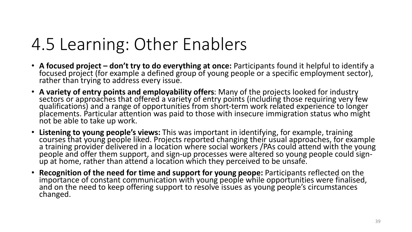## 4.5 Learning: Other Enablers

- **A focused project – don't try to do everything at once:** Participants found it helpful to identify a focused project (for example a defined group of young people or a specific employment sector), rather than trying to address every issue.
- **A variety of entry points and employability offers**: Many of the projects looked for industry sectors or approaches that offered a variety of entry points (including those requiring very few qualifications) and a range of opportunities from short-term work related experience to longer placements. Particular attention was paid to those with insecure immigration status who might not be able to take up work.
- **Listening to young people's views:** This was important in identifying, for example, training courses that young people liked. Projects reported changing their usual approaches, for example a training provider delivered in a location where social workers /PAs could attend with the young people and offer them support, and sign-up processes were altered so young people could sign- ${\sf up}$  at home, rather than attend a location which they perceived to be unsafe.
- **Recognition of the need for time and support for young peope:** Participants reflected on the importance of constant communication with young people while opportunities were finalised, and on the need to keep offering support to resolve issues as young people's circumstances changed.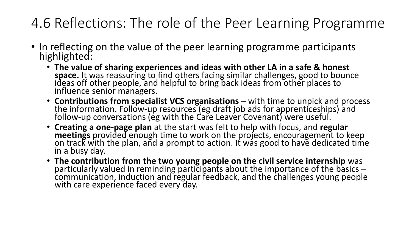#### 4.6 Reflections: The role of the Peer Learning Programme

- In reflecting on the value of the peer learning programme participants highlighted:
	- **The value of sharing experiences and ideas with other LA in a safe & honest space.** It was reassuring to find others facing similar challenges, good to bounce ideas off other people, and helpful to bring back ideas from other places to influence senior managers.
	- **Contributions from specialist VCS organisations**  with time to unpick and process the information. Follow-up resources (eg draft job ads for apprenticeships) and follow-up conversations (eg with the Care Leaver Covenant) were useful.
	- **Creating a one-page plan** at the start was felt to help with focus, and **regular meetings** provided enough time to work on the projects, encouragement to keep on track with the plan, and a prompt to action. It was good to have dedicated time in a busy day.
	- **The contribution from the two young people on the civil service internship** was particularly valued in reminding participants about the importance of the basics communication, induction and regular feedback, and the challenges young people with care experience faced every day.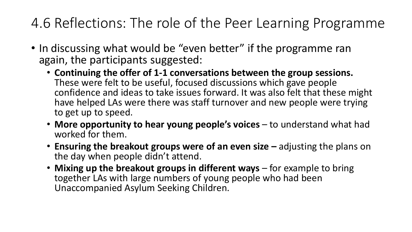#### 4.6 Reflections: The role of the Peer Learning Programme

- In discussing what would be "even better" if the programme ran again, the participants suggested:
	- **Continuing the offer of 1-1 conversations between the group sessions.**  These were felt to be useful, focused discussions which gave people confidence and ideas to take issues forward. It was also felt that these might have helped LAs were there was staff turnover and new people were trying to get up to speed.
	- **More opportunity to hear young people's voices** to understand what had worked for them.
	- **Ensuring the breakout groups were of an even size** adjusting the plans on the day when people didn't attend.
	- Mixing up the breakout groups in different ways for example to bring together LAs with large numbers of young people who had been Unaccompanied Asylum Seeking Children.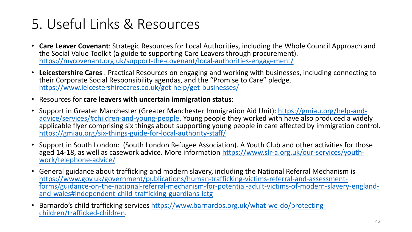#### 5. Useful Links & Resources

- **Care Leaver Covenant**: Strategic Resources for Local Authorities, including the Whole Council Approach and the Social Value Toolkit (a guide to supporting Care Leavers through procurement). <https://mycovenant.org.uk/support-the-covenant/local-authorities-engagement/>
- **Leicestershire Cares** : Practical Resources on engaging and working with businesses, including connecting to their Corporate Social Responsibility agendas, and the "Promise to Care" pledge. <https://www.leicestershirecares.co.uk/get-help/get-businesses/>
- Resources for **care leavers with uncertain immigration status**:
- [Support in Greater Manchester \(Greater Manchester Immigration Aid Unit\): https://gmiau.org/help-and](https://gbr01.safelinks.protection.outlook.com/?url=https%3A%2F%2Fgmiau.org%2Fhelp-and-advice%2Fservices%2F%23children-and-young-people&data=04%7C01%7CDarren.Bishton%40catch-22.org.uk%7C025e5fdd38754bd8413908d97ea4f907%7Cf1ded84eebd346b298f8658f4ca1209c%7C0%7C0%7C637680069404287713%7CUnknown%7CTWFpbGZsb3d8eyJWIjoiMC4wLjAwMDAiLCJQIjoiV2luMzIiLCJBTiI6Ik1haWwiLCJXVCI6Mn0%3D%7C1000&sdata=6RF%2FmQnvdJaXlbYeTqZ1Tcdp34lCiI0K%2F3%2FYdh1qNp4%3D&reserved=0)advice/services/#children-and-young-people. Young people they worked with have also produced a widely applicable flyer comprising six things about supporting young people in care affected by immigration control. <https://gmiau.org/six-things-guide-for-local-authority-staff/>
- Support in South London: (South London Refugee Association). A Youth Club and other activities for those [aged 14-18, as well as casework advice. More information https://www.slr-a.org.uk/our-services/youth](https://gbr01.safelinks.protection.outlook.com/?url=https%3A%2F%2Fwww.slr-a.org.uk%2Four-services%2Fyouth-work%2Ftelephone-advice%2F&data=04%7C01%7CDarren.Bishton%40catch-22.org.uk%7C025e5fdd38754bd8413908d97ea4f907%7Cf1ded84eebd346b298f8658f4ca1209c%7C0%7C0%7C637680069404297670%7CUnknown%7CTWFpbGZsb3d8eyJWIjoiMC4wLjAwMDAiLCJQIjoiV2luMzIiLCJBTiI6Ik1haWwiLCJXVCI6Mn0%3D%7C1000&sdata=1PVKtx5SGG279R8djr75bx9jomQb5T07zxoPa2opKJo%3D&reserved=0)work/telephone-advice/
- General guidance about trafficking and modern slavery, including the National Referral Mechanism is https://www.gov.uk/government/publications/human-trafficking-victims-referral-and-assessment[forms/guidance-on-the-national-referral-mechanism-for-potential-adult-victims-of-modern-slavery-england](https://gbr01.safelinks.protection.outlook.com/?url=https%3A%2F%2Fwww.gov.uk%2Fgovernment%2Fpublications%2Fhuman-trafficking-victims-referral-and-assessment-forms%2Fguidance-on-the-national-referral-mechanism-for-potential-adult-victims-of-modern-slavery-england-and-wales%23independent-child-trafficking-guardians-ictg&data=04%7C01%7CDarren.Bishton%40catch-22.org.uk%7C025e5fdd38754bd8413908d97ea4f907%7Cf1ded84eebd346b298f8658f4ca1209c%7C0%7C0%7C637680069404297670%7CUnknown%7CTWFpbGZsb3d8eyJWIjoiMC4wLjAwMDAiLCJQIjoiV2luMzIiLCJBTiI6Ik1haWwiLCJXVCI6Mn0%3D%7C1000&sdata=NodhsR2T2zAvpNrD6w909HzLZVDOB5SNGmI2abTkLH8%3D&reserved=0)and-wales#independent-child-trafficking-guardians-ictg
- Barnardo's child trafficking services [https://www.barnardos.org.uk/what-we-do/protecting](https://gbr01.safelinks.protection.outlook.com/?url=https%3A%2F%2Fwww.barnardos.org.uk%2Fwhat-we-do%2Fprotecting-children%2Ftrafficked-children&data=04%7C01%7CDarren.Bishton%40catch-22.org.uk%7C025e5fdd38754bd8413908d97ea4f907%7Cf1ded84eebd346b298f8658f4ca1209c%7C0%7C0%7C637680069404297670%7CUnknown%7CTWFpbGZsb3d8eyJWIjoiMC4wLjAwMDAiLCJQIjoiV2luMzIiLCJBTiI6Ik1haWwiLCJXVCI6Mn0%3D%7C1000&sdata=03Vtu67kqWPBkp8O80YljdceRJcXCLi46GKHj0PnnQ4%3D&reserved=0)children/trafficked-children.